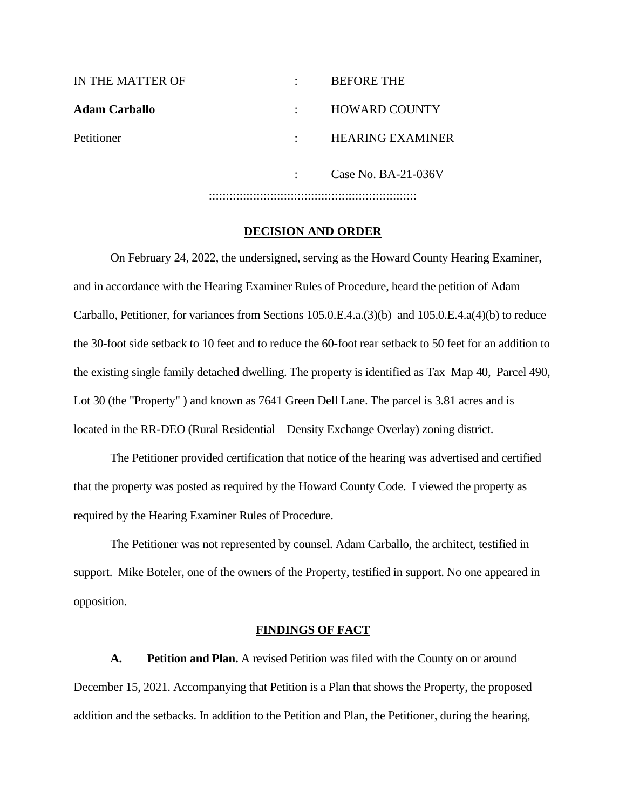| IN THE MATTER OF     |   | <b>BEFORE THE</b>       |
|----------------------|---|-------------------------|
| <b>Adam Carballo</b> |   | <b>HOWARD COUNTY</b>    |
| Petitioner           | ٠ | <b>HEARING EXAMINER</b> |
|                      |   | Case No. $BA-21-036V$   |
|                      |   |                         |

#### **DECISION AND ORDER**

On February 24, 2022, the undersigned, serving as the Howard County Hearing Examiner, and in accordance with the Hearing Examiner Rules of Procedure, heard the petition of Adam Carballo, Petitioner, for variances from Sections 105.0.E.4.a.(3)(b) and 105.0.E.4.a(4)(b) to reduce the 30-foot side setback to 10 feet and to reduce the 60-foot rear setback to 50 feet for an addition to the existing single family detached dwelling. The property is identified as Tax Map 40, Parcel 490, Lot 30 (the "Property" ) and known as 7641 Green Dell Lane. The parcel is 3.81 acres and is located in the RR-DEO (Rural Residential – Density Exchange Overlay) zoning district.

The Petitioner provided certification that notice of the hearing was advertised and certified that the property was posted as required by the Howard County Code. I viewed the property as required by the Hearing Examiner Rules of Procedure.

The Petitioner was not represented by counsel. Adam Carballo, the architect, testified in support. Mike Boteler, one of the owners of the Property, testified in support. No one appeared in opposition.

#### **FINDINGS OF FACT**

**A. Petition and Plan.** A revised Petition was filed with the County on or around December 15, 2021. Accompanying that Petition is a Plan that shows the Property, the proposed addition and the setbacks. In addition to the Petition and Plan, the Petitioner, during the hearing,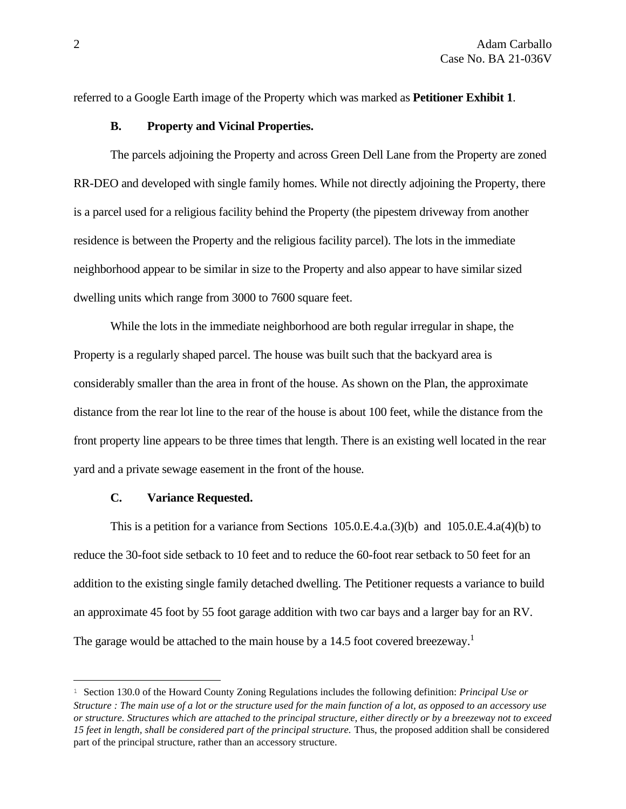referred to a Google Earth image of the Property which was marked as **Petitioner Exhibit 1**.

#### **B. Property and Vicinal Properties.**

The parcels adjoining the Property and across Green Dell Lane from the Property are zoned RR-DEO and developed with single family homes. While not directly adjoining the Property, there is a parcel used for a religious facility behind the Property (the pipestem driveway from another residence is between the Property and the religious facility parcel). The lots in the immediate neighborhood appear to be similar in size to the Property and also appear to have similar sized dwelling units which range from 3000 to 7600 square feet.

While the lots in the immediate neighborhood are both regular irregular in shape, the Property is a regularly shaped parcel. The house was built such that the backyard area is considerably smaller than the area in front of the house. As shown on the Plan, the approximate distance from the rear lot line to the rear of the house is about 100 feet, while the distance from the front property line appears to be three times that length. There is an existing well located in the rear yard and a private sewage easement in the front of the house.

#### **C. Variance Requested.**

This is a petition for a variance from Sections  $105.0.E.4.a.(3)(b)$  and  $105.0.E.4.a(4)(b)$  to reduce the 30-foot side setback to 10 feet and to reduce the 60-foot rear setback to 50 feet for an addition to the existing single family detached dwelling. The Petitioner requests a variance to build an approximate 45 foot by 55 foot garage addition with two car bays and a larger bay for an RV. The garage would be attached to the main house by a 14.5 foot covered breezeway.<sup>1</sup>

<sup>1</sup> Section 130.0 of the Howard County Zoning Regulations includes the following definition: *Principal Use or Structure : The main use of a lot or the structure used for the main function of a lot, as opposed to an accessory use or structure. Structures which are attached to the principal structure, either directly or by a breezeway not to exceed 15 feet in length, shall be considered part of the principal structure.* Thus, the proposed addition shall be considered part of the principal structure, rather than an accessory structure.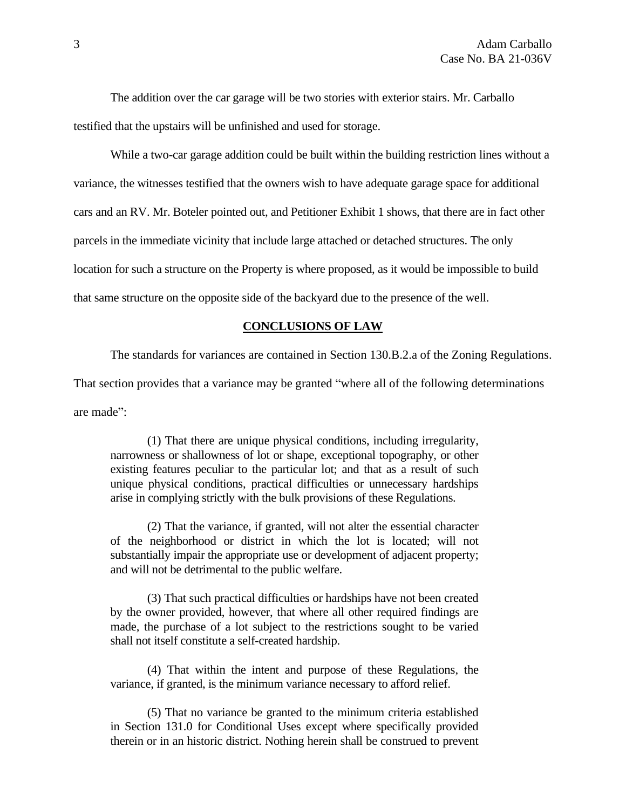The addition over the car garage will be two stories with exterior stairs. Mr. Carballo testified that the upstairs will be unfinished and used for storage.

While a two-car garage addition could be built within the building restriction lines without a variance, the witnesses testified that the owners wish to have adequate garage space for additional cars and an RV. Mr. Boteler pointed out, and Petitioner Exhibit 1 shows, that there are in fact other parcels in the immediate vicinity that include large attached or detached structures. The only location for such a structure on the Property is where proposed, as it would be impossible to build that same structure on the opposite side of the backyard due to the presence of the well.

### **CONCLUSIONS OF LAW**

The standards for variances are contained in Section 130.B.2.a of the Zoning Regulations.

That section provides that a variance may be granted "where all of the following determinations

are made":

(1) That there are unique physical conditions, including irregularity, narrowness or shallowness of lot or shape, exceptional topography, or other existing features peculiar to the particular lot; and that as a result of such unique physical conditions, practical difficulties or unnecessary hardships arise in complying strictly with the bulk provisions of these Regulations.

(2) That the variance, if granted, will not alter the essential character of the neighborhood or district in which the lot is located; will not substantially impair the appropriate use or development of adjacent property; and will not be detrimental to the public welfare.

(3) That such practical difficulties or hardships have not been created by the owner provided, however, that where all other required findings are made, the purchase of a lot subject to the restrictions sought to be varied shall not itself constitute a self-created hardship.

(4) That within the intent and purpose of these Regulations, the variance, if granted, is the minimum variance necessary to afford relief.

(5) That no variance be granted to the minimum criteria established in Section 131.0 for Conditional Uses except where specifically provided therein or in an historic district. Nothing herein shall be construed to prevent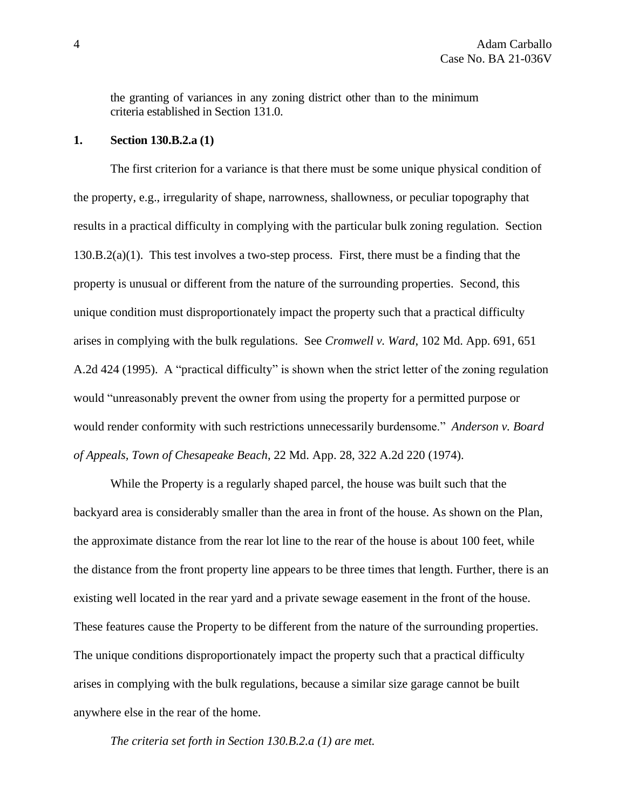the granting of variances in any zoning district other than to the minimum criteria established in Section 131.0.

### **1. Section 130.B.2.a (1)**

The first criterion for a variance is that there must be some unique physical condition of the property, e.g., irregularity of shape, narrowness, shallowness, or peculiar topography that results in a practical difficulty in complying with the particular bulk zoning regulation. Section  $130.B.2(a)(1)$ . This test involves a two-step process. First, there must be a finding that the property is unusual or different from the nature of the surrounding properties. Second, this unique condition must disproportionately impact the property such that a practical difficulty arises in complying with the bulk regulations. See *Cromwell v. Ward*, 102 Md. App. 691, 651 A.2d 424 (1995). A "practical difficulty" is shown when the strict letter of the zoning regulation would "unreasonably prevent the owner from using the property for a permitted purpose or would render conformity with such restrictions unnecessarily burdensome." *Anderson v. Board of Appeals, Town of Chesapeake Beach*, 22 Md. App. 28, 322 A.2d 220 (1974).

While the Property is a regularly shaped parcel, the house was built such that the backyard area is considerably smaller than the area in front of the house. As shown on the Plan, the approximate distance from the rear lot line to the rear of the house is about 100 feet, while the distance from the front property line appears to be three times that length. Further, there is an existing well located in the rear yard and a private sewage easement in the front of the house. These features cause the Property to be different from the nature of the surrounding properties. The unique conditions disproportionately impact the property such that a practical difficulty arises in complying with the bulk regulations, because a similar size garage cannot be built anywhere else in the rear of the home.

*The criteria set forth in Section 130.B.2.a (1) are met.*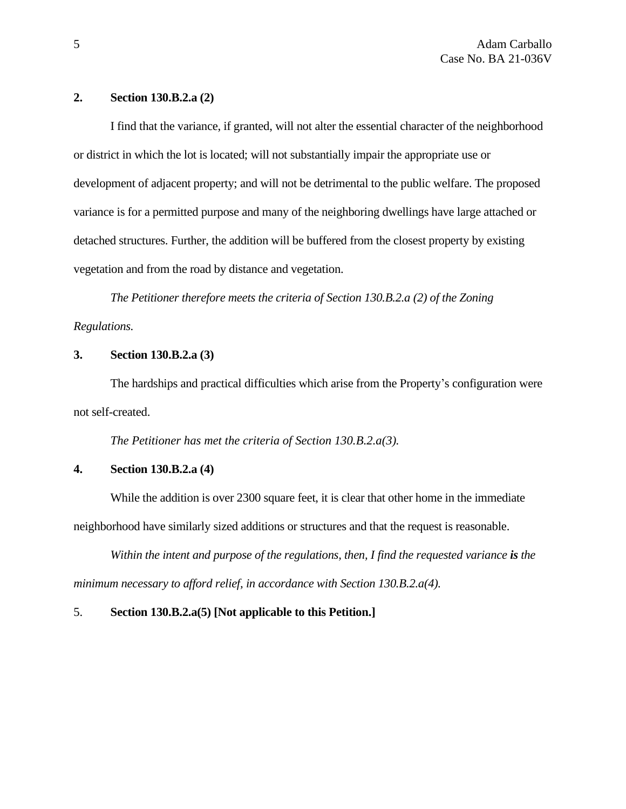### **2. Section 130.B.2.a (2)**

I find that the variance, if granted, will not alter the essential character of the neighborhood or district in which the lot is located; will not substantially impair the appropriate use or development of adjacent property; and will not be detrimental to the public welfare. The proposed variance is for a permitted purpose and many of the neighboring dwellings have large attached or detached structures. Further, the addition will be buffered from the closest property by existing vegetation and from the road by distance and vegetation.

*The Petitioner therefore meets the criteria of Section 130.B.2.a (2) of the Zoning Regulations.*

# **3. Section 130.B.2.a (3)**

The hardships and practical difficulties which arise from the Property's configuration were not self-created.

*The Petitioner has met the criteria of Section 130.B.2.a(3).*

# **4. Section 130.B.2.a (4)**

While the addition is over 2300 square feet, it is clear that other home in the immediate neighborhood have similarly sized additions or structures and that the request is reasonable.

*Within the intent and purpose of the regulations, then, I find the requested variance is the minimum necessary to afford relief, in accordance with Section 130.B.2.a(4).*

# 5. **Section 130.B.2.a(5) [Not applicable to this Petition.]**